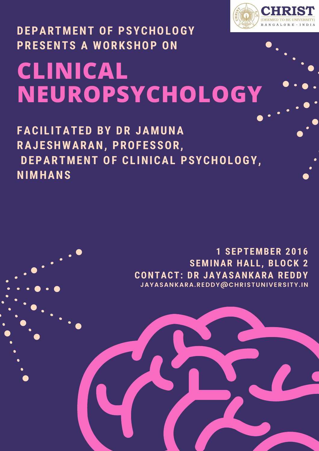# **CLINICAL NEUROPSYCHOLOGY PRESENTS A WORKSHOP ON**

**DEPARTMENT OF PSYCHOLOGY**

**FACI L ITATED BY DR JAMUNA RAJESHWARAN, PROFESSOR, DEPARTMENT OF CL INICAL PSYCHOLOGY, NIMHANS**

## **1 SEPTEMBER 2016 SEMINAR HAL L , BLOCK 2 CONTACT: DR JAYASANKARA REDDY JAYASANKARA.REDDY@CHRISTUNIVERSITY.IN**

BANGALORE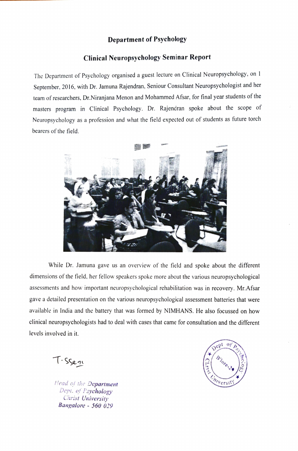#### Department of Psychology

### Clinical Neuropsychology Seminar Report

The Department of Psychology organised a guest lecture on Clinical Neuropsychology, on 1 September, 2016, with Dr. Jamuna Rajendran, Seniour Consultant Neuropsychologist and her team of researchers, Dr.Niranjana Menon and Mohammed Afsar, for final year students of the masters program in Clinical Psychology. Dr. Rajendran spoke about the scope of Neuropsychology as a profession and what the field expected out of students as future torch bearers of the field.



While Dr. Jamuna gave us an overview of the field and spoke about the different dimensions of the field, her fellow speakers spoke more about the various neuropsychological assessments and how important neuropsychological rehabilitation was in recovery. Mr.Afsar gave a detailed presentation on the various neuropsychological assessment batteries that were available in India and the battery that was formed by NIMHANS. He also focussed on how clinical neuropsychologists had to deal with cases that came for consultation and the different levels involved in it.

T-Ssen

Lead of the Department<br>
Dept. of Psychology Christ University Bangalore - 560 029